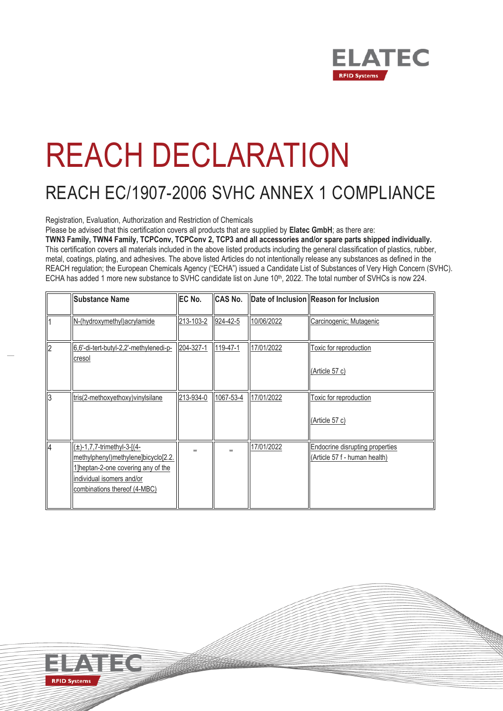

## REACH DECLARATION

## REACH EC/1907-2006 SVHC ANNEX 1 COMPLIANCE

Registration, Evaluation, Authorization and Restriction of Chemicals

Please be advised that this certification covers all products that are supplied by **Elatec GmbH**; as there are:

**TWN3 Family, TWN4 Family, TCPConv, TCPConv 2, TCP3 and all accessories and/or spare parts shipped individually.** This certification covers all materials included in the above listed products including the general classification of plastics, rubber, metal, coatings, plating, and adhesives. The above listed Articles do not intentionally release any substances as defined in the REACH regulation; the European Chemicals Agency ("ECHA") issued a Candidate List of Substances of Very High Concern (SVHC). ECHA has added 1 more new substance to SVHC candidate list on June 10<sup>th</sup>, 2022. The total number of SVHCs is now 224.

| <b>Substance Name</b>                                                                                                                                                      | EC No.    | <b>CAS No.</b> |            | Date of Inclusion Reason for Inclusion                                  |
|----------------------------------------------------------------------------------------------------------------------------------------------------------------------------|-----------|----------------|------------|-------------------------------------------------------------------------|
| N-(hydroxymethyl) acrylamide                                                                                                                                               | 213-103-2 | 924-42-5       | 10/06/2022 | Carcinogenic; Mutagenic                                                 |
| 6,6'-di-tert-butyl-2,2'-methylenedi-p-<br>cresol                                                                                                                           | 204-327-1 | 119-47-1       | 17/01/2022 | Toxic for reproduction<br>(Article 57 c)                                |
| tris(2-methoxyethoxy)vinylsilane                                                                                                                                           | 213-934-0 | 1067-53-4      | 17/01/2022 | Toxic for reproduction<br>(Article 57 c)                                |
| $(\pm)$ -1,7,7-trimethyl-3-[(4-<br>methylphenyl)methylene]bicyclo[2.2.<br>1] heptan-2-one covering any of the<br>individual isomers and/or<br>combinations thereof (4-MBC) |           |                | 17/01/2022 | <b>Endocrine disrupting properties</b><br>(Article 57 f - human health) |

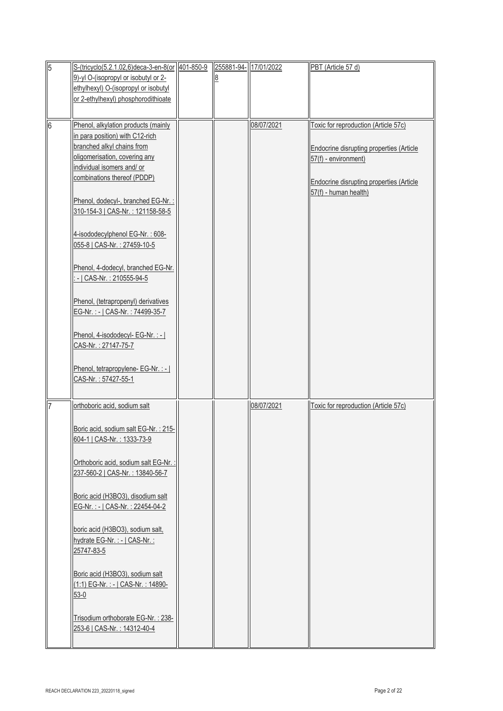| $\overline{5}$ | S-(tricyclo(5.2.1.02,6)deca-3-en-8(or 401-850-9                   | 255881-94-17/01/2022 |            | PBT (Article 57 d)                       |
|----------------|-------------------------------------------------------------------|----------------------|------------|------------------------------------------|
|                | 9)-yl O-(isopropyl or isobutyl or 2-                              |                      |            |                                          |
|                | ethylhexyl) O-(isopropyl or isobutyl                              |                      |            |                                          |
|                | or 2-ethylhexyl) phosphorodithioate                               |                      |            |                                          |
|                |                                                                   |                      |            |                                          |
| 6              | Phenol, alkylation products (mainly                               |                      | 08/07/2021 | Toxic for reproduction (Article 57c)     |
|                | in para position) with C12-rich                                   |                      |            |                                          |
|                | branched alkyl chains from                                        |                      |            | Endocrine disrupting properties (Article |
|                | oligomerisation, covering any                                     |                      |            | 57(f) - environment)                     |
|                | individual isomers and/ or                                        |                      |            |                                          |
|                | combinations thereof (PDDP)                                       |                      |            | Endocrine disrupting properties (Article |
|                |                                                                   |                      |            | 57(f) - human health)                    |
|                | Phenol, dodecyl-, branched EG-Nr.:                                |                      |            |                                          |
|                | 310-154-3   CAS-Nr.: 121158-58-5                                  |                      |            |                                          |
|                |                                                                   |                      |            |                                          |
|                | 4-isododecylphenol EG-Nr.: 608-                                   |                      |            |                                          |
|                | 055-8   CAS-Nr.: 27459-10-5                                       |                      |            |                                          |
|                |                                                                   |                      |            |                                          |
|                | Phenol, 4-dodecyl, branched EG-Nr.<br>-   CAS-Nr. : 210555-94-5   |                      |            |                                          |
|                |                                                                   |                      |            |                                          |
|                | Phenol, (tetrapropenyl) derivatives                               |                      |            |                                          |
|                | EG-Nr.: -   CAS-Nr.: 74499-35-7                                   |                      |            |                                          |
|                |                                                                   |                      |            |                                          |
|                | Phenol, 4-isododecyl- EG-Nr. : -                                  |                      |            |                                          |
|                | CAS-Nr.: 27147-75-7                                               |                      |            |                                          |
|                |                                                                   |                      |            |                                          |
|                | Phenol, tetrapropylene- EG-Nr. : -                                |                      |            |                                          |
|                | CAS-Nr.: 57427-55-1                                               |                      |            |                                          |
|                |                                                                   |                      |            |                                          |
| 117            | orthoboric acid, sodium salt                                      |                      | 08/07/2021 | Toxic for reproduction (Article 57c)     |
|                |                                                                   |                      |            |                                          |
|                | Boric acid, sodium salt EG-Nr.: 215-                              |                      |            |                                          |
|                | 604-1   CAS-Nr. : 1333-73-9                                       |                      |            |                                          |
|                |                                                                   |                      |            |                                          |
|                | Orthoboric acid, sodium salt EG-Nr. :                             |                      |            |                                          |
|                | 237-560-2   CAS-Nr.: 13840-56-7                                   |                      |            |                                          |
|                |                                                                   |                      |            |                                          |
|                | Boric acid (H3BO3), disodium salt                                 |                      |            |                                          |
|                | EG-Nr.: -   CAS-Nr.: 22454-04-2                                   |                      |            |                                          |
|                |                                                                   |                      |            |                                          |
|                | boric acid (H3BO3), sodium salt,                                  |                      |            |                                          |
|                | hydrate EG-Nr. : -   CAS-Nr. :                                    |                      |            |                                          |
|                | 25747-83-5                                                        |                      |            |                                          |
|                |                                                                   |                      |            |                                          |
|                | Boric acid (H3BO3), sodium salt                                   |                      |            |                                          |
|                | (1:1) EG-Nr.: -   CAS-Nr.: 14890-                                 |                      |            |                                          |
|                | $53-0$                                                            |                      |            |                                          |
|                |                                                                   |                      |            |                                          |
|                | Trisodium orthoborate EG-Nr.: 238-<br>253-6   CAS-Nr.: 14312-40-4 |                      |            |                                          |
|                |                                                                   |                      |            |                                          |
|                |                                                                   |                      |            |                                          |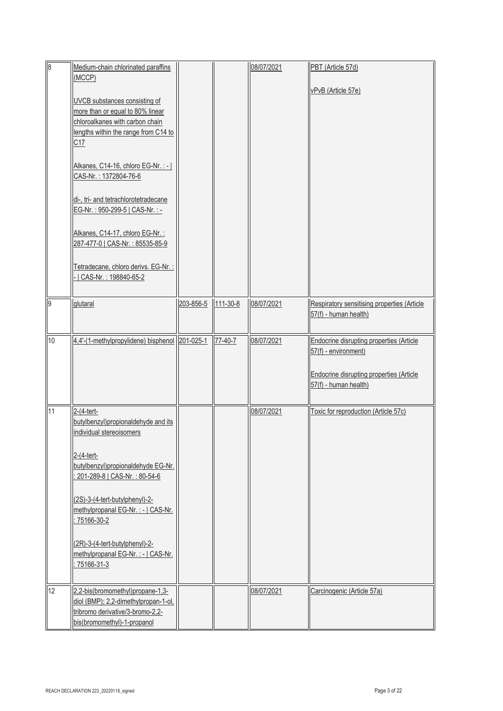| $\overline{8}$ | Medium-chain chlorinated paraffins             |           |                | 08/07/2021 | PBT (Article 57d)                           |
|----------------|------------------------------------------------|-----------|----------------|------------|---------------------------------------------|
|                | (MCCP)                                         |           |                |            |                                             |
|                |                                                |           |                |            | vPvB (Article 57e)                          |
|                | UVCB substances consisting of                  |           |                |            |                                             |
|                |                                                |           |                |            |                                             |
|                | more than or equal to 80% linear               |           |                |            |                                             |
|                | chloroalkanes with carbon chain                |           |                |            |                                             |
|                | lengths within the range from C14 to           |           |                |            |                                             |
|                | C17                                            |           |                |            |                                             |
|                |                                                |           |                |            |                                             |
|                | Alkanes, C14-16, chloro EG-Nr. : -             |           |                |            |                                             |
|                | CAS-Nr.: 1372804-76-6                          |           |                |            |                                             |
|                |                                                |           |                |            |                                             |
|                |                                                |           |                |            |                                             |
|                | di-, tri- and tetrachlorotetradecane           |           |                |            |                                             |
|                | EG-Nr.: 950-299-5   CAS-Nr.:-                  |           |                |            |                                             |
|                |                                                |           |                |            |                                             |
|                | Alkanes, C14-17, chloro EG-Nr.:                |           |                |            |                                             |
|                | 287-477-0   CAS-Nr.: 85535-85-9                |           |                |            |                                             |
|                |                                                |           |                |            |                                             |
|                |                                                |           |                |            |                                             |
|                | Tetradecane, chloro derivs. EG-Nr.:            |           |                |            |                                             |
|                | CAS-Nr.: 198840-65-2                           |           |                |            |                                             |
|                |                                                |           |                |            |                                             |
| $\overline{9}$ | glutaral                                       | 203-856-5 | $111 - 30 - 8$ | 08/07/2021 | Respiratory sensitising properties (Article |
|                |                                                |           |                |            | 57(f) - human health)                       |
|                |                                                |           |                |            |                                             |
|                |                                                |           |                |            |                                             |
| 10             | 4,4'-(1-methylpropylidene) bisphenol 201-025-1 |           | $77-40-7$      | 08/07/2021 | Endocrine disrupting properties (Article    |
|                |                                                |           |                |            | 57(f) - environment)                        |
|                |                                                |           |                |            |                                             |
|                |                                                |           |                |            | Endocrine disrupting properties (Article    |
|                |                                                |           |                |            | 57(f) - human health)                       |
|                |                                                |           |                |            |                                             |
|                |                                                |           |                |            |                                             |
| 11             | 2-(4-tert-                                     |           |                | 08/07/2021 | Toxic for reproduction (Article 57c)        |
|                | butylbenzyl)propionaldehyde and its            |           |                |            |                                             |
|                | individual stereoisomers                       |           |                |            |                                             |
|                |                                                |           |                |            |                                             |
|                |                                                |           |                |            |                                             |
|                | 2-(4-tert-                                     |           |                |            |                                             |
|                | butylbenzyl) propionaldehyde EG-Nr.            |           |                |            |                                             |
|                | 201-289-8   CAS-Nr.: 80-54-6                   |           |                |            |                                             |
|                |                                                |           |                |            |                                             |
|                | (2S)-3-(4-tert-butylphenyl)-2-                 |           |                |            |                                             |
|                | methylpropanal EG-Nr. : -   CAS-Nr.            |           |                |            |                                             |
|                | 75166-30-2                                     |           |                |            |                                             |
|                |                                                |           |                |            |                                             |
|                |                                                |           |                |            |                                             |
|                | (2R)-3-(4-tert-butylphenyl)-2-                 |           |                |            |                                             |
|                | methylpropanal EG-Nr. : -   CAS-Nr.            |           |                |            |                                             |
|                | 75166-31-3                                     |           |                |            |                                             |
|                |                                                |           |                |            |                                             |
| 12             | 2,2-bis(bromomethyl)propane-1,3-               |           |                | 08/07/2021 | Carcinogenic (Article 57a)                  |
|                | diol (BMP); 2,2-dimethylpropan-1-ol,           |           |                |            |                                             |
|                |                                                |           |                |            |                                             |
|                | tribromo derivative/3-bromo-2,2-               |           |                |            |                                             |
|                | bis(bromomethyl)-1-propanol                    |           |                |            |                                             |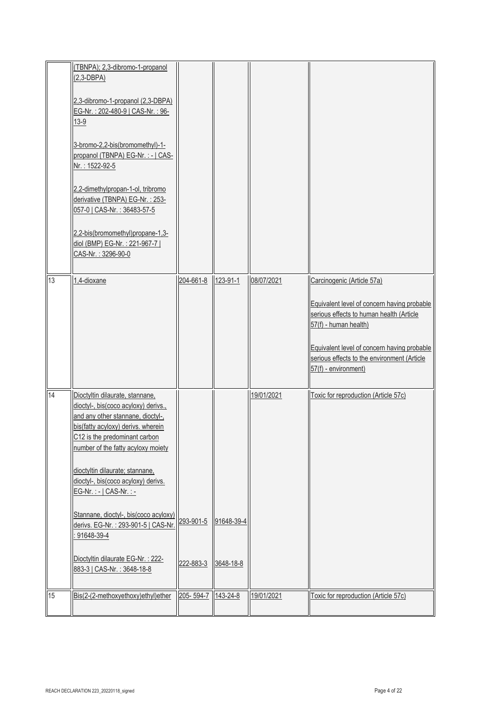| 13 | (TBNPA); 2,3-dibromo-1-propanol<br>$(2,3-DBPA)$<br>2,3-dibromo-1-propanol (2,3-DBPA)<br>EG-Nr.: 202-480-9   CAS-Nr.: 96-<br>$13-9$<br>3-bromo-2,2-bis(bromomethyl)-1-<br>propanol (TBNPA) EG-Nr. : -   CAS-<br>Nr.: 1522-92-5<br>2,2-dimethylpropan-1-ol, tribromo<br>derivative (TBNPA) EG-Nr.: 253-<br>057-0   CAS-Nr.: 36483-57-5<br>2,2-bis(bromomethyl)propane-1,3-<br>diol (BMP) EG-Nr.: 221-967-7  <br>CAS-Nr.: 3296-90-0<br>1,4-dioxane                                                  | 204-661-8              | 123-91-1                | 08/07/2021 | Carcinogenic (Article 57a)                                                                                                                                                                                                             |
|----|--------------------------------------------------------------------------------------------------------------------------------------------------------------------------------------------------------------------------------------------------------------------------------------------------------------------------------------------------------------------------------------------------------------------------------------------------------------------------------------------------|------------------------|-------------------------|------------|----------------------------------------------------------------------------------------------------------------------------------------------------------------------------------------------------------------------------------------|
|    |                                                                                                                                                                                                                                                                                                                                                                                                                                                                                                  |                        |                         |            | Equivalent level of concern having probable<br>serious effects to human health (Article<br>57(f) - human health)<br>Equivalent level of concern having probable<br>serious effects to the environment (Article<br>57(f) - environment) |
| 14 | Dioctyltin dilaurate, stannane,<br>dioctyl-, bis(coco acyloxy) derivs.,<br>and any other stannane, dioctyl-,<br>bis(fatty acyloxy) derivs. wherein<br>C12 is the predominant carbon<br>number of the fatty acyloxy moiety<br>dioctyltin dilaurate; stannane,<br>dioctyl-, bis(coco acyloxy) derivs.<br>EG-Nr. : -   CAS-Nr. : -<br>Stannane, dioctyl-, bis(coco acyloxy)<br>derivs. EG-Nr.: 293-901-5   CAS-Nr.<br>91648-39-4<br>Dioctyltin dilaurate EG-Nr.: 222-<br>883-3   CAS-Nr.: 3648-18-8 | 293-901-5<br>222-883-3 | 91648-39-4<br>3648-18-8 | 19/01/2021 | Toxic for reproduction (Article 57c)                                                                                                                                                                                                   |
| 15 | Bis(2-(2-methoxyethoxy)ethyl)ether                                                                                                                                                                                                                                                                                                                                                                                                                                                               | 205-594-7 143-24-8     |                         | 19/01/2021 | Toxic for reproduction (Article 57c)                                                                                                                                                                                                   |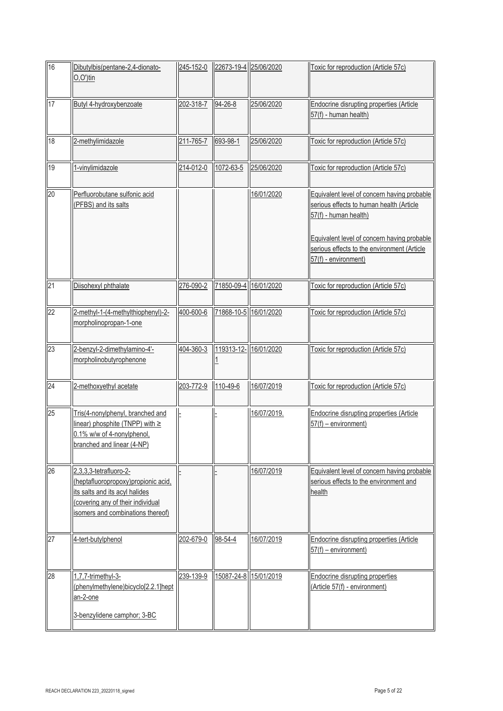| 16 | Dibutylbis(pentane-2,4-dionato-<br>$O,O^{\prime}$ )tin                                                                                                                    | 245-152-0 |               | 22673-19-4 25/06/2020 | Toxic for reproduction (Article 57c)                                                                                                                                                                                                   |
|----|---------------------------------------------------------------------------------------------------------------------------------------------------------------------------|-----------|---------------|-----------------------|----------------------------------------------------------------------------------------------------------------------------------------------------------------------------------------------------------------------------------------|
| 17 | Butyl 4-hydroxybenzoate                                                                                                                                                   | 202-318-7 | 94-26-8       | 25/06/2020            | Endocrine disrupting properties (Article<br>57(f) - human health)                                                                                                                                                                      |
| 18 | 2-methylimidazole                                                                                                                                                         | 211-765-7 | 693-98-1      | 25/06/2020            | Toxic for reproduction (Article 57c)                                                                                                                                                                                                   |
| 19 | 1-vinylimidazole                                                                                                                                                          | 214-012-0 | 1072-63-5     | 25/06/2020            | Toxic for reproduction (Article 57c)                                                                                                                                                                                                   |
| 20 | Perfluorobutane sulfonic acid<br>(PFBS) and its salts                                                                                                                     |           |               | 16/01/2020            | Equivalent level of concern having probable<br>serious effects to human health (Article<br>57(f) - human health)<br>Equivalent level of concern having probable<br>serious effects to the environment (Article<br>57(f) - environment) |
| 21 | Diisohexyl phthalate                                                                                                                                                      | 276-090-2 |               | 71850-09-4 16/01/2020 | Toxic for reproduction (Article 57c)                                                                                                                                                                                                   |
| 22 | 2-methyl-1-(4-methylthiophenyl)-2-<br>morpholinopropan-1-one                                                                                                              | 400-600-6 |               | 71868-10-5 16/01/2020 | Toxic for reproduction (Article 57c)                                                                                                                                                                                                   |
| 23 | 2-benzyl-2-dimethylamino-4'-<br>morpholinobutyrophenone                                                                                                                   | 404-360-3 |               | 119313-12- 16/01/2020 | Toxic for reproduction (Article 57c)                                                                                                                                                                                                   |
| 24 | 2-methoxyethyl acetate                                                                                                                                                    | 203-772-9 | 110-49-6      | 16/07/2019            | Toxic for reproduction (Article 57c)                                                                                                                                                                                                   |
| 25 | Tris(4-nonylphenyl, branched and<br>linear) phosphite (TNPP) with $\ge$<br>0.1% w/w of 4-nonylphenol,<br>branched and linear (4-NP)                                       |           |               | 16/07/2019.           | Endocrine disrupting properties (Article<br>$57(f)$ – environment)                                                                                                                                                                     |
| 26 | 2,3,3,3-tetrafluoro-2-<br>(heptafluoropropoxy)propionic acid,<br>its salts and its acyl halides<br>(covering any of their individual<br>isomers and combinations thereof) |           |               | 16/07/2019            | Equivalent level of concern having probable<br>serious effects to the environment and<br>health                                                                                                                                        |
| 27 | 4-tert-butylphenol                                                                                                                                                        | 202-679-0 | $98 - 54 - 4$ | 16/07/2019            | Endocrine disrupting properties (Article<br>$57(f)$ – environment)                                                                                                                                                                     |
| 28 | 1,7,7-trimethyl-3-<br>(phenylmethylene)bicyclo[2.2.1]hept<br>an-2-one<br>3-benzylidene camphor; 3-BC                                                                      | 239-139-9 |               | 15087-24-8 15/01/2019 | Endocrine disrupting properties<br>(Article 57(f) - environment)                                                                                                                                                                       |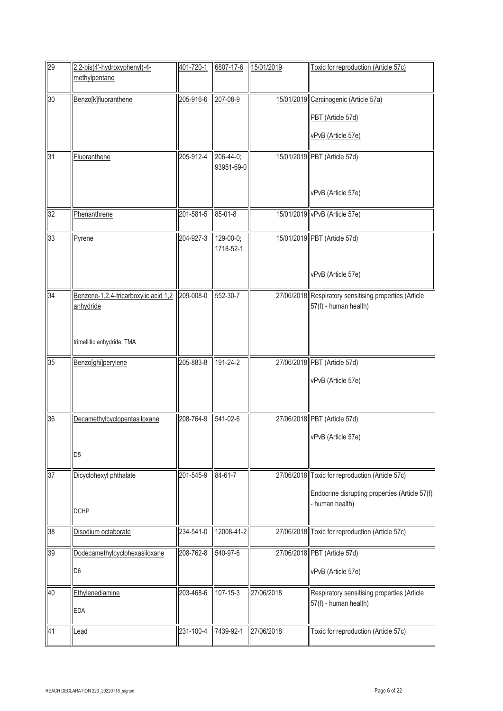| 29      | 2,2-bis(4'-hydroxyphenyl)-4-<br>methylpentane     | 401-720-1 | 6807-17-6               | 15/01/2019 | Toxic for reproduction (Article 57c)                                            |
|---------|---------------------------------------------------|-----------|-------------------------|------------|---------------------------------------------------------------------------------|
| 30      | Benzo[k]fluoranthene                              | 205-916-6 | 207-08-9                |            | 15/01/2019 Carcinogenic (Article 57a)                                           |
|         |                                                   |           |                         |            | PBT (Article 57d)                                                               |
|         |                                                   |           |                         |            | vPvB (Article 57e)                                                              |
| 31      | Fluoranthene                                      | 205-912-4 | 206-44-0;<br>93951-69-0 |            | 15/01/2019 PBT (Article 57d)                                                    |
|         |                                                   |           |                         |            | vPvB (Article 57e)                                                              |
| SS<br>2 | Phenanthrene                                      | 201-581-5 | 85-01-8                 |            | 15/01/2019 vPvB (Article 57e)                                                   |
| 33      | Pyrene                                            | 204-927-3 | 129-00-0;<br>1718-52-1  |            | 15/01/2019 PBT (Article 57d)                                                    |
|         |                                                   |           |                         |            | vPvB (Article 57e)                                                              |
| 34      | Benzene-1,2,4-tricarboxylic acid 1,2<br>anhydride | 209-008-0 | 552-30-7                |            | 27/06/2018 Respiratory sensitising properties (Article<br>57(f) - human health) |
|         | trimellitic anhydride; TMA                        |           |                         |            |                                                                                 |
| 35      | Benzo[ghi]perylene                                | 205-883-8 | 191-24-2                |            | 27/06/2018 PBT (Article 57d)                                                    |
|         |                                                   |           |                         |            | vPvB (Article 57e)                                                              |
| 36      | Decamethylcyclopentasiloxane                      | 208-764-9 | 541-02-6                |            | 27/06/2018 PBT (Article 57d)                                                    |
|         | D <sub>5</sub>                                    |           |                         |            | vPvB (Article 57e)                                                              |
| 37      | Dicyclohexyl phthalate                            | 201-545-9 | 84-61-7                 |            | 27/06/2018 Toxic for reproduction (Article 57c)                                 |
|         | <b>DCHP</b>                                       |           |                         |            | Endocrine disrupting properties (Article 57(f)<br>- human health)               |
| 38      | Disodium octaborate                               | 234-541-0 | 12008-41-2              |            | 27/06/2018 Toxic for reproduction (Article 57c)                                 |
| 39      | Dodecamethylcyclohexasiloxane                     | 208-762-8 | 540-97-6                |            | 27/06/2018 PBT (Article 57d)                                                    |
|         | D <sub>6</sub>                                    |           |                         |            | vPvB (Article 57e)                                                              |
| 40      | Ethylenediamine<br><b>EDA</b>                     | 203-468-6 | $107 - 15 - 3$          | 27/06/2018 | Respiratory sensitising properties (Article<br>57(f) - human health)            |
| 41      | Lead                                              | 231-100-4 | 7439-92-1               | 27/06/2018 | Toxic for reproduction (Article 57c)                                            |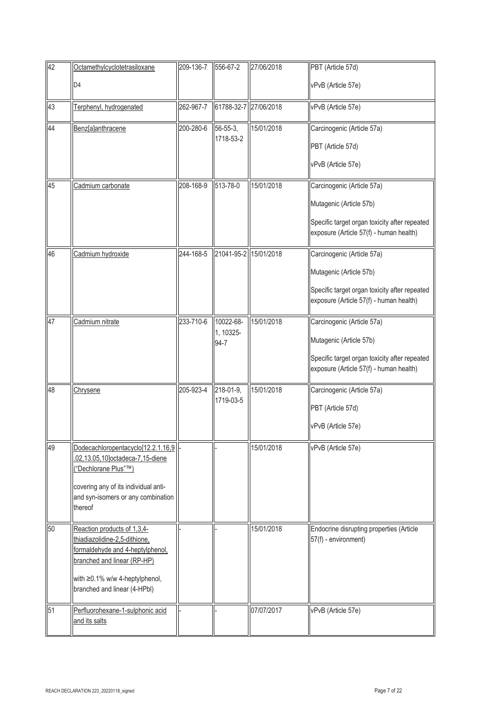| 42 | Octamethylcyclotetrasiloxane                                                                                                                                                                      | 209-136-7 | 556-67-2                       | 27/06/2018 | PBT (Article 57d)                                                                                                                                 |
|----|---------------------------------------------------------------------------------------------------------------------------------------------------------------------------------------------------|-----------|--------------------------------|------------|---------------------------------------------------------------------------------------------------------------------------------------------------|
|    | D <sub>4</sub>                                                                                                                                                                                    |           |                                |            | vPvB (Article 57e)                                                                                                                                |
| 43 | Terphenyl, hydrogenated                                                                                                                                                                           | 262-967-7 | 61788-32-7 27/06/2018          |            | vPvB (Article 57e)                                                                                                                                |
| 44 | Benz[a]anthracene                                                                                                                                                                                 | 200-280-6 | $56 - 55 - 3$ ,<br>1718-53-2   | 15/01/2018 | Carcinogenic (Article 57a)<br>PBT (Article 57d)<br>vPvB (Article 57e)                                                                             |
| 45 | Cadmium carbonate                                                                                                                                                                                 | 208-168-9 | 513-78-0                       | 15/01/2018 | Carcinogenic (Article 57a)<br>Mutagenic (Article 57b)<br>Specific target organ toxicity after repeated<br>exposure (Article 57(f) - human health) |
| 46 | Cadmium hydroxide                                                                                                                                                                                 | 244-168-5 | 21041-95-2 15/01/2018          |            | Carcinogenic (Article 57a)<br>Mutagenic (Article 57b)<br>Specific target organ toxicity after repeated<br>exposure (Article 57(f) - human health) |
| 47 | Cadmium nitrate                                                                                                                                                                                   | 233-710-6 | 10022-68-<br>1, 10325-<br>94-7 | 15/01/2018 | Carcinogenic (Article 57a)<br>Mutagenic (Article 57b)<br>Specific target organ toxicity after repeated<br>exposure (Article 57(f) - human health) |
| 48 | Chrysene                                                                                                                                                                                          | 205-923-4 | 218-01-9,<br>1719-03-5         | 15/01/2018 | Carcinogenic (Article 57a)<br>PBT (Article 57d)<br>vPvB (Article 57e)                                                                             |
| 49 | Dodecachloropentacyclo[12.2.1.16,9]<br>.02,13.05,10]octadeca-7,15-diene<br>'Dechlorane Plus"™)<br>covering any of its individual anti-<br>and syn-isomers or any combination<br>thereof           |           |                                | 15/01/2018 | vPvB (Article 57e)                                                                                                                                |
| 50 | Reaction products of 1,3,4-<br>thiadiazolidine-2,5-dithione.<br>formaldehyde and 4-heptylphenol.<br>branched and linear (RP-HP)<br>with ≥0.1% w/w 4-heptylphenol,<br>branched and linear (4-HPbl) |           |                                | 15/01/2018 | Endocrine disrupting properties (Article<br>57(f) - environment)                                                                                  |
| 51 | Perfluorohexane-1-sulphonic acid<br>and its salts                                                                                                                                                 |           |                                | 07/07/2017 | vPvB (Article 57e)                                                                                                                                |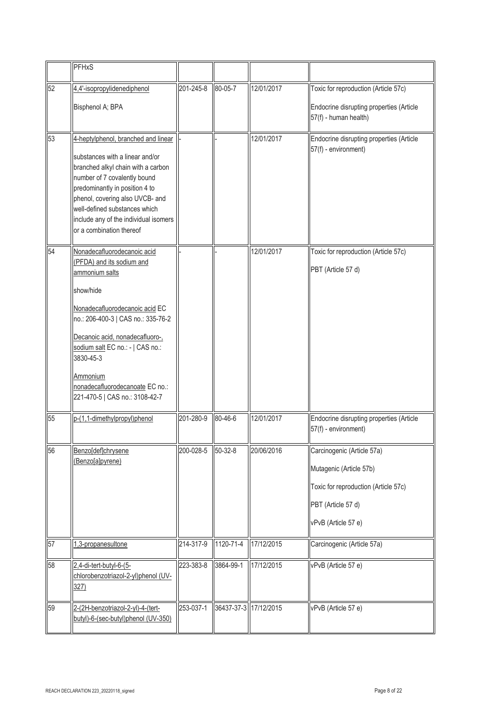|    | <b>PFHxS</b>                                                                                                                                                                                                                                                                                                                         |           |               |                       |                                                                                                                                            |
|----|--------------------------------------------------------------------------------------------------------------------------------------------------------------------------------------------------------------------------------------------------------------------------------------------------------------------------------------|-----------|---------------|-----------------------|--------------------------------------------------------------------------------------------------------------------------------------------|
| 52 | 4,4'-isopropylidenediphenol<br>Bisphenol A; BPA                                                                                                                                                                                                                                                                                      | 201-245-8 | $80 - 05 - 7$ | 12/01/2017            | Toxic for reproduction (Article 57c)<br>Endocrine disrupting properties (Article<br>57(f) - human health)                                  |
| 53 | 4-heptylphenol, branched and linear<br>substances with a linear and/or<br>branched alkyl chain with a carbon<br>number of 7 covalently bound<br>predominantly in position 4 to<br>phenol, covering also UVCB- and<br>well-defined substances which<br>include any of the individual isomers<br>or a combination thereof              |           |               | 12/01/2017            | Endocrine disrupting properties (Article<br>57(f) - environment)                                                                           |
| 54 | Nonadecafluorodecanoic acid<br>(PFDA) and its sodium and<br>ammonium salts<br>show/hide<br>Nonadecafluorodecanoic acid EC<br>no.: 206-400-3   CAS no.: 335-76-2<br>Decanoic acid, nonadecafluoro-,<br>sodium salt EC no.: -   CAS no.:<br>3830-45-3<br>Ammonium<br>nonadecafluorodecanoate EC no.:<br>221-470-5   CAS no.: 3108-42-7 |           |               | 12/01/2017            | Toxic for reproduction (Article 57c)<br>PBT (Article 57 d)                                                                                 |
| 55 | p-(1,1-dimethylpropyl)phenol                                                                                                                                                                                                                                                                                                         | 201-280-9 | 80-46-6       | 12/01/2017            | Endocrine disrupting properties (Article<br>57(f) - environment)                                                                           |
| 56 | Benzo[def]chrysene<br>(Benzo[a]pyrene)                                                                                                                                                                                                                                                                                               | 200-028-5 | $50 - 32 - 8$ | 20/06/2016            | Carcinogenic (Article 57a)<br>Mutagenic (Article 57b)<br>Toxic for reproduction (Article 57c)<br>PBT (Article 57 d)<br>vPvB (Article 57 e) |
| 57 | 1,3-propanesultone                                                                                                                                                                                                                                                                                                                   | 214-317-9 | 1120-71-4     | 17/12/2015            | Carcinogenic (Article 57a)                                                                                                                 |
| 58 | 2,4-di-tert-butyl-6-(5-<br>chlorobenzotriazol-2-yl)phenol (UV-<br>327)                                                                                                                                                                                                                                                               | 223-383-8 | 3864-99-1     | 17/12/2015            | vPvB (Article 57 e)                                                                                                                        |
| 59 | 2-(2H-benzotriazol-2-yl)-4-(tert-<br>butyl)-6-(sec-butyl)phenol (UV-350)                                                                                                                                                                                                                                                             | 253-037-1 |               | 36437-37-3 17/12/2015 | vPvB (Article 57 e)                                                                                                                        |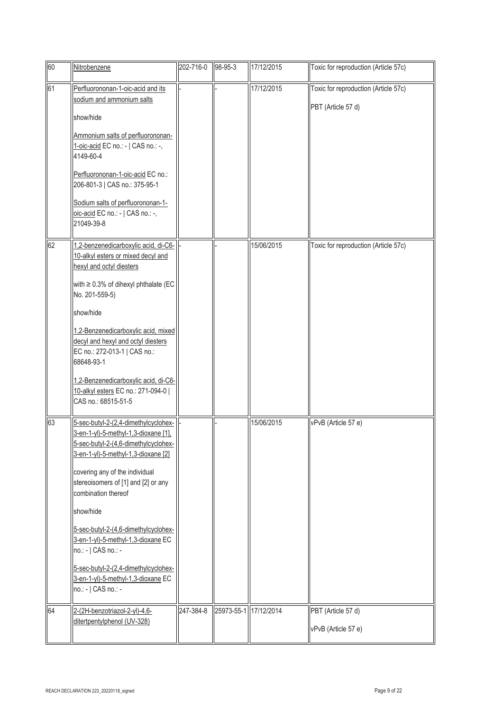| $\overline{60}$ | Nitrobenzene                                                                                                                                                                                                                                                                                                                                                                                                                                                                       | 202-716-0 | 98-95-3               | 17/12/2015 | Toxic for reproduction (Article 57c)                       |
|-----------------|------------------------------------------------------------------------------------------------------------------------------------------------------------------------------------------------------------------------------------------------------------------------------------------------------------------------------------------------------------------------------------------------------------------------------------------------------------------------------------|-----------|-----------------------|------------|------------------------------------------------------------|
| 61              | Perfluorononan-1-oic-acid and its<br>sodium and ammonium salts<br>show/hide<br>Ammonium salts of perfluorononan-<br>1-oic-acid EC no.: -   CAS no.: -,<br>4149-60-4<br>Perfluorononan-1-oic-acid EC no.:<br>206-801-3   CAS no.: 375-95-1<br>Sodium salts of perfluorononan-1-<br>oic-acid EC no.: -   CAS no.: -,<br>21049-39-8                                                                                                                                                   |           |                       | 17/12/2015 | Toxic for reproduction (Article 57c)<br>PBT (Article 57 d) |
| 62              | 1,2-benzenedicarboxylic acid, di-C6-<br>10-alkyl esters or mixed decyl and<br>hexyl and octyl diesters<br>with $\geq$ 0.3% of dihexyl phthalate (EC<br>No. 201-559-5)<br>show/hide<br>1,2-Benzenedicarboxylic acid, mixed<br>decyl and hexyl and octyl diesters<br>EC no.: 272-013-1   CAS no.:<br>68648-93-1<br>1,2-Benzenedicarboxylic acid, di-C6-<br>10-alkyl esters EC no.: 271-094-0  <br>CAS no.: 68515-51-5                                                                |           |                       | 15/06/2015 | Toxic for reproduction (Article 57c)                       |
| 63              | 5-sec-butyl-2-(2,4-dimethylcyclohex-<br>3-en-1-yl)-5-methyl-1,3-dioxane [1].<br>5-sec-butyl-2-(4,6-dimethylcyclohex-<br>3-en-1-yl)-5-methyl-1,3-dioxane [2]<br>covering any of the individual<br>stereoisomers of [1] and [2] or any<br>combination thereof<br>show/hide<br>5-sec-butyl-2-(4,6-dimethylcyclohex-<br>3-en-1-yl)-5-methyl-1,3-dioxane EC<br>no.: -   CAS no.: -<br>5-sec-butyl-2-(2,4-dimethylcyclohex-<br>3-en-1-yl)-5-methyl-1,3-dioxane EC<br>no.: -   CAS no.: - |           |                       | 15/06/2015 | vPvB (Article 57 e)                                        |
| 64              | 2-(2H-benzotriazol-2-yl)-4,6-<br>ditertpentylphenol (UV-328)                                                                                                                                                                                                                                                                                                                                                                                                                       | 247-384-8 | 25973-55-1 17/12/2014 |            | PBT (Article 57 d)<br>vPvB (Article 57 e)                  |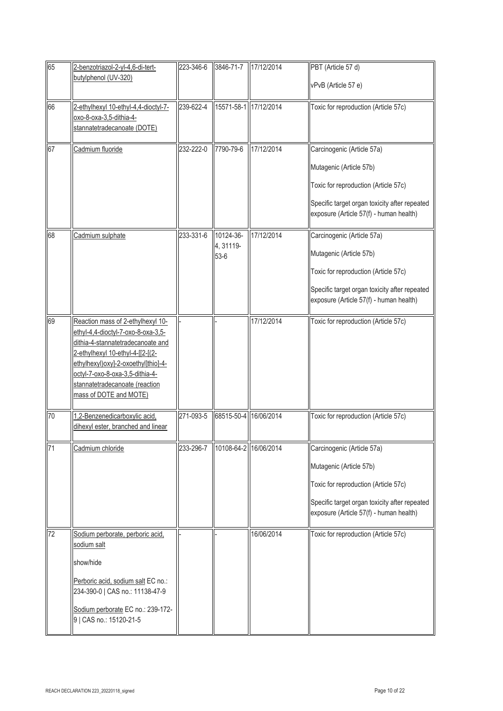| 65              | 2-benzotriazol-2-yl-4,6-di-tert-<br>butylphenol (UV-320)                                                                                                                                                                                                                                | 223-346-6 | 3846-71-7                        | 17/12/2014 | PBT (Article 57 d)<br>vPvB (Article 57 e)                                                                                                                                                 |
|-----------------|-----------------------------------------------------------------------------------------------------------------------------------------------------------------------------------------------------------------------------------------------------------------------------------------|-----------|----------------------------------|------------|-------------------------------------------------------------------------------------------------------------------------------------------------------------------------------------------|
| 66              | 2-ethylhexyl 10-ethyl-4,4-dioctyl-7-<br>oxo-8-oxa-3,5-dithia-4-<br>stannatetradecanoate (DOTE)                                                                                                                                                                                          | 239-622-4 | 15571-58-1 17/12/2014            |            | Toxic for reproduction (Article 57c)                                                                                                                                                      |
| 67              | Cadmium fluoride                                                                                                                                                                                                                                                                        | 232-222-0 | 7790-79-6                        | 17/12/2014 | Carcinogenic (Article 57a)<br>Mutagenic (Article 57b)<br>Toxic for reproduction (Article 57c)<br>Specific target organ toxicity after repeated<br>exposure (Article 57(f) - human health) |
| 68              | Cadmium sulphate                                                                                                                                                                                                                                                                        | 233-331-6 | 10124-36-<br>4, 31119-<br>$53-6$ | 17/12/2014 | Carcinogenic (Article 57a)<br>Mutagenic (Article 57b)<br>Toxic for reproduction (Article 57c)<br>Specific target organ toxicity after repeated<br>exposure (Article 57(f) - human health) |
| 69              | Reaction mass of 2-ethylhexyl 10-<br>ethyl-4,4-dioctyl-7-oxo-8-oxa-3,5-<br>dithia-4-stannatetradecanoate and<br>2-ethylhexyl 10-ethyl-4-[[2-[(2-<br>ethylhexyl) oxy]-2-oxoethyl]thio]-4-<br>octyl-7-oxo-8-oxa-3,5-dithia-4-<br>stannatetradecanoate (reaction<br>mass of DOTE and MOTE) |           |                                  | 17/12/2014 | Toxic for reproduction (Article 57c)                                                                                                                                                      |
| 70              | 1,2-Benzenedicarboxylic acid,<br>dihexyl ester, branched and linear                                                                                                                                                                                                                     | 271-093-5 | 68515-50-4 16/06/2014            |            | Toxic for reproduction (Article 57c)                                                                                                                                                      |
| $\overline{71}$ | Cadmium chloride                                                                                                                                                                                                                                                                        | 233-296-7 | 10108-64-2 16/06/2014            |            | Carcinogenic (Article 57a)<br>Mutagenic (Article 57b)<br>Toxic for reproduction (Article 57c)<br>Specific target organ toxicity after repeated<br>exposure (Article 57(f) - human health) |
| 72              | Sodium perborate, perboric acid,<br>sodium salt<br>show/hide<br>Perboric acid, sodium salt EC no.:<br>234-390-0   CAS no.: 11138-47-9<br>Sodium perborate EC no.: 239-172-<br>9   CAS no.: 15120-21-5                                                                                   |           |                                  | 16/06/2014 | Toxic for reproduction (Article 57c)                                                                                                                                                      |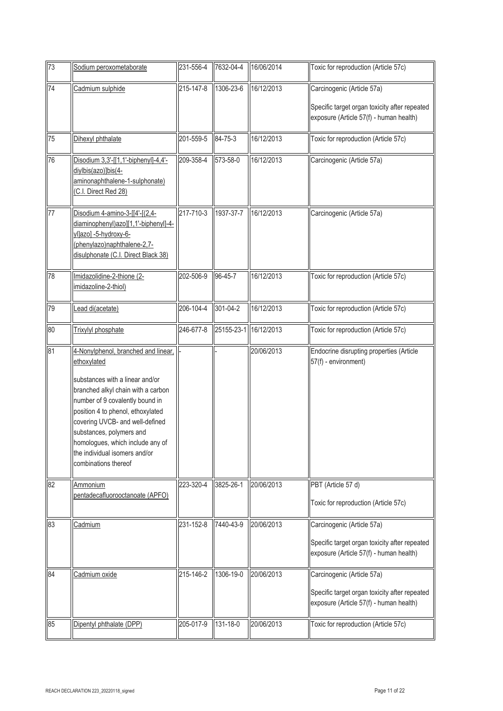| 73 | Sodium peroxometaborate                                                                                                                                                                                                                                                                                                                                         | 231-556-4 | 7632-04-4  | 16/06/2014 | Toxic for reproduction (Article 57c)                                                                                   |
|----|-----------------------------------------------------------------------------------------------------------------------------------------------------------------------------------------------------------------------------------------------------------------------------------------------------------------------------------------------------------------|-----------|------------|------------|------------------------------------------------------------------------------------------------------------------------|
| 74 | Cadmium sulphide                                                                                                                                                                                                                                                                                                                                                | 215-147-8 | 1306-23-6  | 16/12/2013 | Carcinogenic (Article 57a)<br>Specific target organ toxicity after repeated<br>exposure (Article 57(f) - human health) |
| 75 | Dihexyl phthalate                                                                                                                                                                                                                                                                                                                                               | 201-559-5 | 84-75-3    | 16/12/2013 | Toxic for reproduction (Article 57c)                                                                                   |
| 76 | Disodium 3,3'-[[1,1'-biphenyl]-4,4'-<br>diylbis(azo)]bis(4-<br>aminonaphthalene-1-sulphonate)<br>(C.I. Direct Red 28)                                                                                                                                                                                                                                           | 209-358-4 | 573-58-0   | 16/12/2013 | Carcinogenic (Article 57a)                                                                                             |
| 77 | Disodium 4-amino-3-[[4'-[(2,4-<br>diaminophenyl)azo][1,1'-biphenyl]-4-<br>yllazol-5-hydroxy-6-<br>(phenylazo)naphthalene-2,7-<br>disulphonate (C.I. Direct Black 38)                                                                                                                                                                                            | 217-710-3 | 1937-37-7  | 16/12/2013 | Carcinogenic (Article 57a)                                                                                             |
| 78 | Imidazolidine-2-thione (2-<br>imidazoline-2-thiol)                                                                                                                                                                                                                                                                                                              | 202-506-9 | 96-45-7    | 16/12/2013 | Toxic for reproduction (Article 57c)                                                                                   |
| 79 | ead di(acetate)                                                                                                                                                                                                                                                                                                                                                 | 206-104-4 | 301-04-2   | 16/12/2013 | Toxic for reproduction (Article 57c)                                                                                   |
| 80 | Trixylyl phosphate                                                                                                                                                                                                                                                                                                                                              | 246-677-8 | 25155-23-1 | 16/12/2013 | Toxic for reproduction (Article 57c)                                                                                   |
| 81 | 4-Nonylphenol, branched and linear,<br>ethoxylated<br>substances with a linear and/or<br>branched alkyl chain with a carbon<br>number of 9 covalently bound in<br>position 4 to phenol, ethoxylated<br>covering UVCB- and well-defined<br>substances, polymers and<br>homologues, which include any of<br>the individual isomers and/or<br>combinations thereof |           |            | 20/06/2013 | Endocrine disrupting properties (Article<br>57(f) - environment)                                                       |
| 82 | Ammonium<br>pentadecafluorooctanoate (APFO)                                                                                                                                                                                                                                                                                                                     | 223-320-4 | 3825-26-1  | 20/06/2013 | PBT (Article 57 d)<br>Toxic for reproduction (Article 57c)                                                             |
| 83 | Cadmium                                                                                                                                                                                                                                                                                                                                                         | 231-152-8 | 7440-43-9  | 20/06/2013 | Carcinogenic (Article 57a)<br>Specific target organ toxicity after repeated<br>exposure (Article 57(f) - human health) |
| 84 | Cadmium oxide                                                                                                                                                                                                                                                                                                                                                   | 215-146-2 | 1306-19-0  | 20/06/2013 | Carcinogenic (Article 57a)<br>Specific target organ toxicity after repeated<br>exposure (Article 57(f) - human health) |
| 85 | Dipentyl phthalate (DPP)                                                                                                                                                                                                                                                                                                                                        | 205-017-9 | 131-18-0   | 20/06/2013 | Toxic for reproduction (Article 57c)                                                                                   |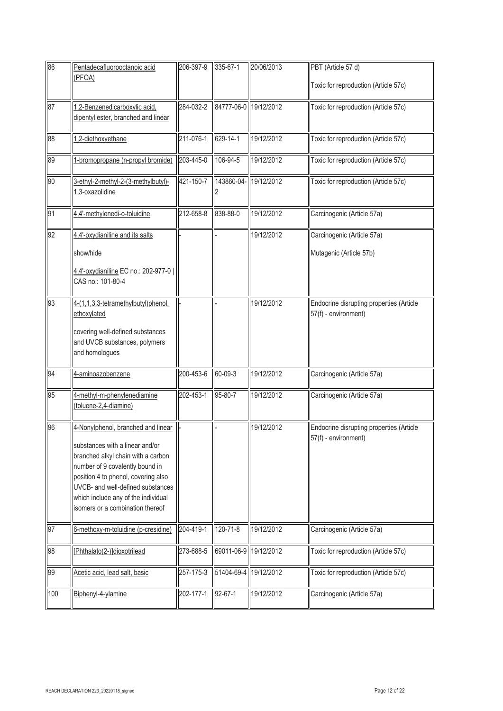| 86  | Pentadecafluorooctanoic acid                                                                                                                                                                                                                                                                          | 206-397-9 | 335-67-1              | 20/06/2013 | PBT (Article 57 d)                                               |
|-----|-------------------------------------------------------------------------------------------------------------------------------------------------------------------------------------------------------------------------------------------------------------------------------------------------------|-----------|-----------------------|------------|------------------------------------------------------------------|
|     | (PFOA)                                                                                                                                                                                                                                                                                                |           |                       |            | Toxic for reproduction (Article 57c)                             |
| 87  | 1,2-Benzenedicarboxylic acid,<br>dipentyl ester, branched and linear                                                                                                                                                                                                                                  | 284-032-2 | 84777-06-0 19/12/2012 |            | Toxic for reproduction (Article 57c)                             |
| 88  | 1,2-diethoxyethane                                                                                                                                                                                                                                                                                    | 211-076-1 | 629-14-1              | 19/12/2012 | Toxic for reproduction (Article 57c)                             |
| 89  | 1-bromopropane (n-propyl bromide)                                                                                                                                                                                                                                                                     | 203-445-0 | 106-94-5              | 19/12/2012 | Toxic for reproduction (Article 57c)                             |
| 90  | 3-ethyl-2-methyl-2-(3-methylbutyl)-<br>1,3-oxazolidine                                                                                                                                                                                                                                                | 421-150-7 | 143860-04-            | 19/12/2012 | Toxic for reproduction (Article 57c)                             |
| 91  | 4,4'-methylenedi-o-toluidine                                                                                                                                                                                                                                                                          | 212-658-8 | 838-88-0              | 19/12/2012 | Carcinogenic (Article 57a)                                       |
| 92  | 4,4'-oxydianiline and its salts                                                                                                                                                                                                                                                                       |           |                       | 19/12/2012 | Carcinogenic (Article 57a)                                       |
|     | show/hide                                                                                                                                                                                                                                                                                             |           |                       |            | Mutagenic (Article 57b)                                          |
|     | 4,4'-oxydianiline EC no.: 202-977-0  <br>CAS no.: 101-80-4                                                                                                                                                                                                                                            |           |                       |            |                                                                  |
| 93  | 4-(1,1,3,3-tetramethylbutyl)phenol,<br>ethoxylated                                                                                                                                                                                                                                                    |           |                       | 19/12/2012 | Endocrine disrupting properties (Article<br>57(f) - environment) |
|     | covering well-defined substances<br>and UVCB substances, polymers<br>and homologues                                                                                                                                                                                                                   |           |                       |            |                                                                  |
| 94  | 4-aminoazobenzene                                                                                                                                                                                                                                                                                     | 200-453-6 | 60-09-3               | 19/12/2012 | Carcinogenic (Article 57a)                                       |
| 95  | 4-methyl-m-phenylenediamine<br>(toluene-2,4-diamine)                                                                                                                                                                                                                                                  | 202-453-1 | 95-80-7               | 19/12/2012 | Carcinogenic (Article 57a)                                       |
| 96  | 4-Nonylphenol, branched and linear<br>substances with a linear and/or<br>branched alkyl chain with a carbon<br>number of 9 covalently bound in<br>position 4 to phenol, covering also<br>UVCB- and well-defined substances<br>which include any of the individual<br>isomers or a combination thereof |           |                       | 19/12/2012 | Endocrine disrupting properties (Article<br>57(f) - environment) |
| 97  | 6-methoxy-m-toluidine (p-cresidine)                                                                                                                                                                                                                                                                   | 204-419-1 | 120-71-8              | 19/12/2012 | Carcinogenic (Article 57a)                                       |
| 98  | [Phthalato(2-)]dioxotrilead                                                                                                                                                                                                                                                                           | 273-688-5 | 69011-06-9 19/12/2012 |            | Toxic for reproduction (Article 57c)                             |
| 99  | Acetic acid, lead salt, basic                                                                                                                                                                                                                                                                         | 257-175-3 | 51404-69-4 19/12/2012 |            | Toxic for reproduction (Article 57c)                             |
| 100 | Biphenyl-4-ylamine                                                                                                                                                                                                                                                                                    | 202-177-1 | 92-67-1               | 19/12/2012 | Carcinogenic (Article 57a)                                       |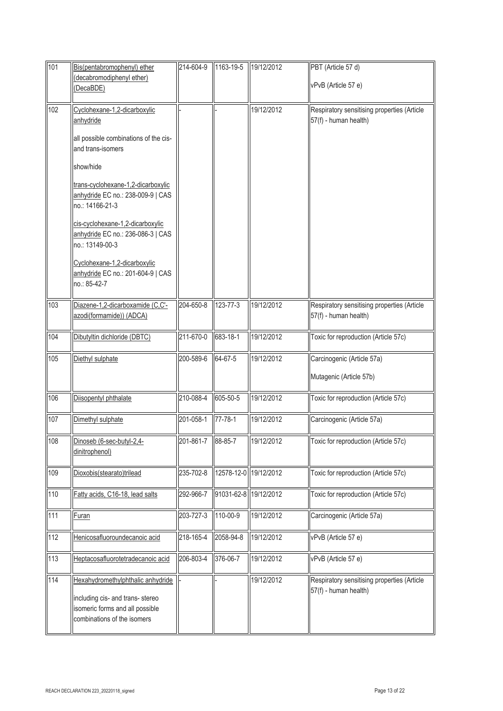| 101 | Bis(pentabromophenyl) ether                                                                        | 214-604-9         | 1163-19-5             | 19/12/2012 | PBT (Article 57 d)                                                   |
|-----|----------------------------------------------------------------------------------------------------|-------------------|-----------------------|------------|----------------------------------------------------------------------|
|     | (decabromodiphenyl ether)<br>DecaBDE)                                                              |                   |                       |            | vPvB (Article 57 e)                                                  |
|     |                                                                                                    |                   |                       |            |                                                                      |
| 102 | Cyclohexane-1,2-dicarboxylic<br>anhydride                                                          |                   |                       | 19/12/2012 | Respiratory sensitising properties (Article<br>57(f) - human health) |
|     | all possible combinations of the cis-<br>and trans-isomers                                         |                   |                       |            |                                                                      |
|     | show/hide                                                                                          |                   |                       |            |                                                                      |
|     | trans-cyclohexane-1,2-dicarboxylic<br>anhydride EC no.: 238-009-9   CAS<br>no.: 14166-21-3         |                   |                       |            |                                                                      |
|     | cis-cyclohexane-1,2-dicarboxylic<br>anhydride EC no.: 236-086-3   CAS<br>no.: 13149-00-3           |                   |                       |            |                                                                      |
|     | Cyclohexane-1,2-dicarboxylic<br>anhydride EC no.: 201-604-9   CAS<br>no.: 85-42-7                  |                   |                       |            |                                                                      |
| 103 | Diazene-1,2-dicarboxamide (C,C'-<br>azodi(formamide)) (ADCA)                                       | 204-650-8         | 123-77-3              | 19/12/2012 | Respiratory sensitising properties (Article<br>57(f) - human health) |
| 104 | Dibutyltin dichloride (DBTC)                                                                       | 211-670-0         | 683-18-1              | 19/12/2012 | Toxic for reproduction (Article 57c)                                 |
| 105 | Diethyl sulphate                                                                                   | 200-589-6         | 64-67-5               | 19/12/2012 | Carcinogenic (Article 57a)                                           |
|     |                                                                                                    |                   |                       |            | Mutagenic (Article 57b)                                              |
| 106 | Diisopentyl phthalate                                                                              | 210-088-4         | 605-50-5              | 19/12/2012 | Toxic for reproduction (Article 57c)                                 |
| 107 | Dimethyl sulphate                                                                                  | 201-058-1         | $77 - 78 - 1$         | 19/12/2012 | Carcinogenic (Article 57a)                                           |
| 108 | Dinoseb (6-sec-butyl-2,4-<br>dinitrophenol)                                                        | 201-861-7 88-85-7 |                       | 19/12/2012 | Toxic for reproduction (Article 57c)                                 |
| 109 | Dioxobis(stearato)trilead                                                                          | 235-702-8         | 12578-12-0            | 19/12/2012 | Toxic for reproduction (Article 57c)                                 |
| 110 | Fatty acids, C16-18, lead salts                                                                    | 292-966-7         | 91031-62-8 19/12/2012 |            | Toxic for reproduction (Article 57c)                                 |
| 111 | <b>Furan</b>                                                                                       | 203-727-3         | 110-00-9              | 19/12/2012 | Carcinogenic (Article 57a)                                           |
| 112 | Henicosafluoroundecanoic acid                                                                      | 218-165-4         | 2058-94-8             | 19/12/2012 | vPvB (Article 57 e)                                                  |
| 113 | Heptacosafluorotetradecanoic acid                                                                  | 206-803-4         | 376-06-7              | 19/12/2012 | vPvB (Article 57 e)                                                  |
| 114 | Hexahydromethylphthalic anhydride                                                                  |                   |                       | 19/12/2012 | Respiratory sensitising properties (Article                          |
|     | including cis- and trans- stereo<br>isomeric forms and all possible<br>combinations of the isomers |                   |                       |            | 57(f) - human health)                                                |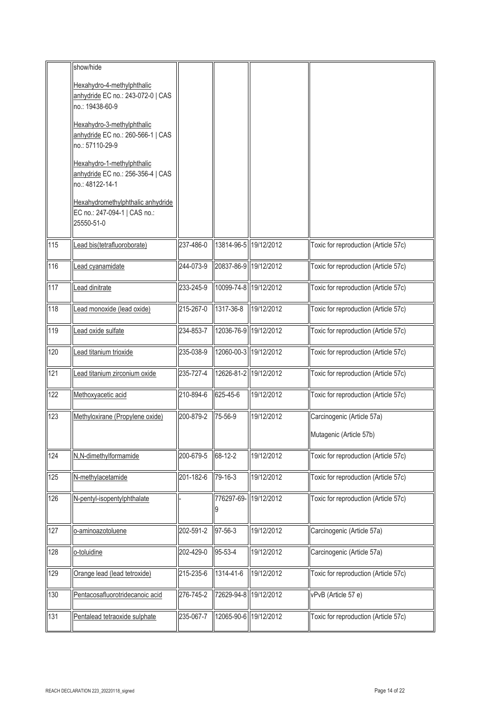|     | show/hide                                                                          |           |                       |                       |                                      |
|-----|------------------------------------------------------------------------------------|-----------|-----------------------|-----------------------|--------------------------------------|
|     | Hexahydro-4-methylphthalic                                                         |           |                       |                       |                                      |
|     | anhydride EC no.: 243-072-0   CAS<br>no.: 19438-60-9                               |           |                       |                       |                                      |
|     | Hexahydro-3-methylphthalic                                                         |           |                       |                       |                                      |
|     | anhydride EC no.: 260-566-1   CAS<br>no.: 57110-29-9                               |           |                       |                       |                                      |
|     | Hexahydro-1-methylphthalic<br>anhydride EC no.: 256-356-4   CAS<br>no.: 48122-14-1 |           |                       |                       |                                      |
|     | Hexahydromethylphthalic anhydride<br>EC no.: 247-094-1   CAS no.:                  |           |                       |                       |                                      |
|     | 25550-51-0                                                                         |           |                       |                       |                                      |
| 115 | ead bis(tetrafluoroborate)                                                         | 237-486-0 |                       | 13814-96-5 19/12/2012 | Toxic for reproduction (Article 57c) |
| 116 | ead cyanamidate                                                                    | 244-073-9 | 20837-86-9 19/12/2012 |                       | Toxic for reproduction (Article 57c) |
| 117 | ead dinitrate                                                                      | 233-245-9 | 10099-74-8 19/12/2012 |                       | Toxic for reproduction (Article 57c) |
| 118 | ead monoxide (lead oxide)                                                          | 215-267-0 | 1317-36-8             | 19/12/2012            | Toxic for reproduction (Article 57c) |
| 119 | ead oxide sulfate                                                                  | 234-853-7 |                       | 12036-76-9 19/12/2012 | Toxic for reproduction (Article 57c) |
| 120 | Lead titanium trioxide                                                             | 235-038-9 | 12060-00-3 19/12/2012 |                       | Toxic for reproduction (Article 57c) |
| 121 | Lead titanium zirconium oxide                                                      | 235-727-4 |                       | 12626-81-2 19/12/2012 | Toxic for reproduction (Article 57c) |
| 122 | Methoxyacetic acid                                                                 | 210-894-6 | 625-45-6              | 19/12/2012            | Toxic for reproduction (Article 57c) |
| 123 | Methyloxirane (Propylene oxide)                                                    | 200-879-2 | 75-56-9               | 19/12/2012            | Carcinogenic (Article 57a)           |
|     |                                                                                    |           |                       |                       | Mutagenic (Article 57b)              |
| 124 | N,N-dimethylformamide                                                              | 200-679-5 | 68-12-2               | 19/12/2012            | Toxic for reproduction (Article 57c) |
| 125 | N-methylacetamide                                                                  | 201-182-6 | 79-16-3               | 19/12/2012            | Toxic for reproduction (Article 57c) |
| 126 | N-pentyl-isopentylphthalate                                                        |           | 776297-69-<br>9       | 19/12/2012            | Toxic for reproduction (Article 57c) |
| 127 | o-aminoazotoluene                                                                  | 202-591-2 | 97-56-3               | 19/12/2012            | Carcinogenic (Article 57a)           |
| 128 | o-toluidine                                                                        | 202-429-0 | 95-53-4               | 19/12/2012            | Carcinogenic (Article 57a)           |
| 129 | Orange lead (lead tetroxide)                                                       | 215-235-6 | 1314-41-6             | 19/12/2012            | Toxic for reproduction (Article 57c) |
| 130 | Pentacosafluorotridecanoic acid                                                    | 276-745-2 |                       | 72629-94-8 19/12/2012 | vPvB (Article 57 e)                  |
| 131 | Pentalead tetraoxide sulphate                                                      | 235-067-7 |                       | 12065-90-6 19/12/2012 | Toxic for reproduction (Article 57c) |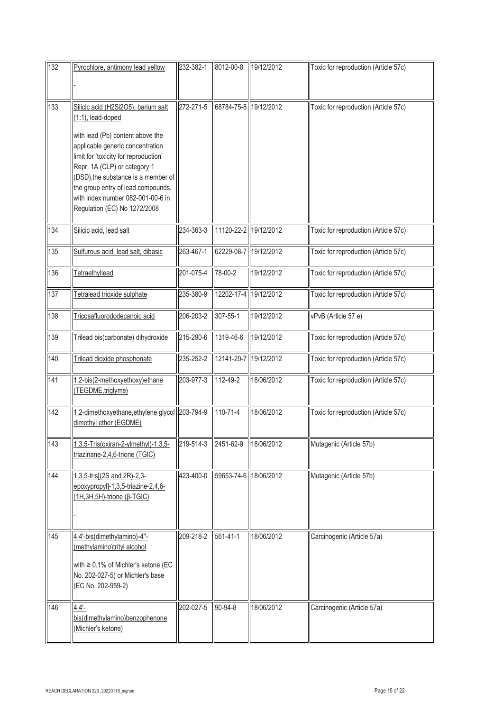| 132 | Pyrochlore, antimony lead yellow                                                                                                                                                                                                                                                                                                                            | 232-382-1 | 8012-00-8             | 19/12/2012            | Toxic for reproduction (Article 57c) |
|-----|-------------------------------------------------------------------------------------------------------------------------------------------------------------------------------------------------------------------------------------------------------------------------------------------------------------------------------------------------------------|-----------|-----------------------|-----------------------|--------------------------------------|
| 133 | Silicic acid (H2Si2O5), barium salt<br>(1:1), lead-doped<br>with lead (Pb) content above the<br>applicable generic concentration<br>limit for 'toxicity for reproduction'<br>Repr. 1A (CLP) or category 1<br>(DSD), the substance is a member of<br>the group entry of lead compounds,<br>with index number 082-001-00-6 in<br>Regulation (EC) No 1272/2008 | 272-271-5 |                       | 68784-75-8 19/12/2012 | Toxic for reproduction (Article 57c) |
| 134 | Silicic acid, lead salt                                                                                                                                                                                                                                                                                                                                     | 234-363-3 |                       | 11120-22-2 19/12/2012 | Toxic for reproduction (Article 57c) |
| 135 | Sulfurous acid, lead salt, dibasic                                                                                                                                                                                                                                                                                                                          | 263-467-1 | 62229-08-7 19/12/2012 |                       | Toxic for reproduction (Article 57c) |
| 136 | Tetraethyllead                                                                                                                                                                                                                                                                                                                                              | 201-075-4 | 78-00-2               | 19/12/2012            | Toxic for reproduction (Article 57c) |
| 137 | Tetralead trioxide sulphate                                                                                                                                                                                                                                                                                                                                 | 235-380-9 | 12202-17-4            | 19/12/2012            | Toxic for reproduction (Article 57c) |
| 138 | Tricosafluorododecanoic acid                                                                                                                                                                                                                                                                                                                                | 206-203-2 | 307-55-1              | 19/12/2012            | vPvB (Article 57 e)                  |
| 139 | Trilead bis(carbonate) dihydroxide                                                                                                                                                                                                                                                                                                                          | 215-290-6 | 1319-46-6             | 19/12/2012            | Toxic for reproduction (Article 57c) |
| 140 | Trilead dioxide phosphonate                                                                                                                                                                                                                                                                                                                                 | 235-252-2 |                       | 12141-20-7 19/12/2012 | Toxic for reproduction (Article 57c) |
| 141 | 1,2-bis(2-methoxyethoxy)ethane<br>(TEGDME, triglyme)                                                                                                                                                                                                                                                                                                        | 203-977-3 | 112-49-2              | 18/06/2012            | Toxic for reproduction (Article 57c) |
| 142 | 1,2-dimethoxyethane, ethylene glycol 203-794-9<br>dimethyl ether (EGDME)                                                                                                                                                                                                                                                                                    |           | 110-71-4              | 18/06/2012            | Toxic for reproduction (Article 57c) |
| 143 | 1,3,5-Tris(oxiran-2-ylmethyl)-1,3,5-<br>triazinane-2,4,6-trione (TGIC)                                                                                                                                                                                                                                                                                      | 219-514-3 | 2451-62-9             | 18/06/2012            | Mutagenic (Article 57b)              |
| 144 | 1,3,5-tris[(2S and 2R)-2,3-<br>epoxypropyl]-1,3,5-triazine-2,4,6-<br>(1H, 3H, 5H)-trione (β-TGIC)                                                                                                                                                                                                                                                           | 423-400-0 | 59653-74-6 18/06/2012 |                       | Mutagenic (Article 57b)              |
| 145 | 4,4'-bis(dimethylamino)-4"-<br>(methylamino)trityl alcohol<br>with $\geq 0.1\%$ of Michler's ketone (EC<br>No. 202-027-5) or Michler's base<br>(EC No. 202-959-2)                                                                                                                                                                                           | 209-218-2 | 561-41-1              | 18/06/2012            | Carcinogenic (Article 57a)           |
| 146 | $4,4'$ -<br>bis(dimethylamino)benzophenone<br>(Michler's ketone)                                                                                                                                                                                                                                                                                            | 202-027-5 | 90-94-8               | 18/06/2012            | Carcinogenic (Article 57a)           |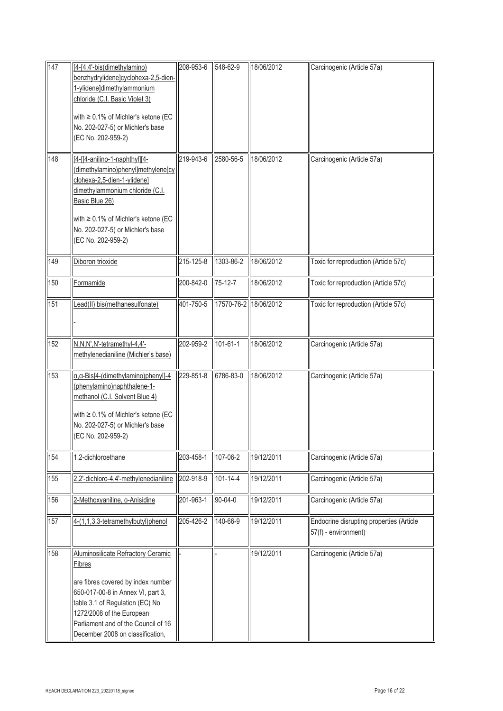| 147 | [4-[4,4'-bis(dimethylamino)<br>benzhydrylidene]cyclohexa-2,5-dien-<br>1-ylidene]dimethylammonium<br>chloride (C.I. Basic Violet 3)<br>with $\geq 0.1\%$ of Michler's ketone (EC<br>No. 202-027-5) or Michler's base<br>(EC No. 202-959-2)                                        | 208-953-6       | 548-62-9              | 18/06/2012 | Carcinogenic (Article 57a)                                       |
|-----|----------------------------------------------------------------------------------------------------------------------------------------------------------------------------------------------------------------------------------------------------------------------------------|-----------------|-----------------------|------------|------------------------------------------------------------------|
| 148 | [4-[[4-anilino-1-naphthyl][4-<br>dimethylamino)phenyl]methylene]cy<br>clohexa-2,5-dien-1-ylidene]<br>dimethylammonium chloride (C.I.<br>Basic Blue 26)<br>with $\geq 0.1\%$ of Michler's ketone (EC<br>No. 202-027-5) or Michler's base<br>(EC No. 202-959-2)                    | 219-943-6       | 2580-56-5             | 18/06/2012 | Carcinogenic (Article 57a)                                       |
| 149 | Diboron trioxide                                                                                                                                                                                                                                                                 | $215 - 125 - 8$ | 1303-86-2             | 18/06/2012 | Toxic for reproduction (Article 57c)                             |
| 150 | Formamide                                                                                                                                                                                                                                                                        | 200-842-0       | $75 - 12 - 7$         | 18/06/2012 | Toxic for reproduction (Article 57c)                             |
| 151 | Lead(II) bis(methanesulfonate)                                                                                                                                                                                                                                                   | 401-750-5       | 17570-76-2 18/06/2012 |            | Toxic for reproduction (Article 57c)                             |
| 152 | N, N, N', N'-tetramethyl-4, 4'-<br>methylenedianiline (Michler's base)                                                                                                                                                                                                           | 202-959-2       | $101 - 61 - 1$        | 18/06/2012 | Carcinogenic (Article 57a)                                       |
| 153 | $\alpha$ , $\alpha$ -Bis[4-(dimethylamino)phenyl]-4<br>(phenylamino)naphthalene-1-<br>methanol (C.I. Solvent Blue 4)<br>with ≥ 0.1% of Michler's ketone (EC<br>No. 202-027-5) or Michler's base<br>(EC No. 202-959-2)                                                            | 229-851-8       | 6786-83-0             | 18/06/2012 | Carcinogenic (Article 57a)                                       |
| 154 | 1,2-dichloroethane                                                                                                                                                                                                                                                               | 203-458-1       | 107-06-2              | 19/12/2011 | Carcinogenic (Article 57a)                                       |
| 155 | 2,2'-dichloro-4,4'-methylenedianiline                                                                                                                                                                                                                                            | 202-918-9       | 101-14-4              | 19/12/2011 | Carcinogenic (Article 57a)                                       |
| 156 | 2-Methoxyaniline, o-Anisidine                                                                                                                                                                                                                                                    | 201-963-1       | 90-04-0               | 19/12/2011 | Carcinogenic (Article 57a)                                       |
| 157 | 4-(1,1,3,3-tetramethylbutyl)phenol                                                                                                                                                                                                                                               | 205-426-2       | 140-66-9              | 19/12/2011 | Endocrine disrupting properties (Article<br>57(f) - environment) |
| 158 | <b>Aluminosilicate Refractory Ceramic</b><br><b>Fibres</b><br>are fibres covered by index number<br>650-017-00-8 in Annex VI, part 3,<br>table 3.1 of Regulation (EC) No<br>1272/2008 of the European<br>Parliament and of the Council of 16<br>December 2008 on classification, |                 |                       | 19/12/2011 | Carcinogenic (Article 57a)                                       |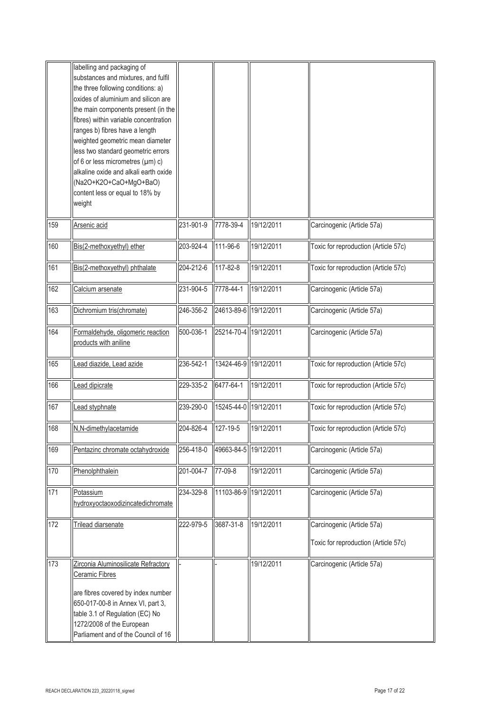|     | labelling and packaging of            |           |                       |            |                                      |
|-----|---------------------------------------|-----------|-----------------------|------------|--------------------------------------|
|     | substances and mixtures, and fulfil   |           |                       |            |                                      |
|     | the three following conditions: a)    |           |                       |            |                                      |
|     | oxides of aluminium and silicon are   |           |                       |            |                                      |
|     | the main components present (in the   |           |                       |            |                                      |
|     | fibres) within variable concentration |           |                       |            |                                      |
|     | ranges b) fibres have a length        |           |                       |            |                                      |
|     | weighted geometric mean diameter      |           |                       |            |                                      |
|     | less two standard geometric errors    |           |                       |            |                                      |
|     | of 6 or less micrometres (µm) c)      |           |                       |            |                                      |
|     | alkaline oxide and alkali earth oxide |           |                       |            |                                      |
|     | (Na2O+K2O+CaO+MgO+BaO)                |           |                       |            |                                      |
|     | content less or equal to 18% by       |           |                       |            |                                      |
|     | weight                                |           |                       |            |                                      |
| 159 | Arsenic acid                          | 231-901-9 | 7778-39-4             | 19/12/2011 | Carcinogenic (Article 57a)           |
| 160 | Bis(2-methoxyethyl) ether             | 203-924-4 | 111-96-6              | 19/12/2011 | Toxic for reproduction (Article 57c) |
|     |                                       | 204-212-6 |                       |            |                                      |
| 161 | Bis(2-methoxyethyl) phthalate         |           | 117-82-8              | 19/12/2011 | Toxic for reproduction (Article 57c) |
| 162 | Calcium arsenate                      | 231-904-5 | 7778-44-1             | 19/12/2011 | Carcinogenic (Article 57a)           |
| 163 | Dichromium tris(chromate)             | 246-356-2 | 24613-89-6 19/12/2011 |            | Carcinogenic (Article 57a)           |
| 164 | Formaldehyde, oligomeric reaction     | 500-036-1 | 25214-70-4 19/12/2011 |            | Carcinogenic (Article 57a)           |
|     | products with aniline                 |           |                       |            |                                      |
|     |                                       |           |                       |            |                                      |
| 165 | ead diazide, Lead azide               | 236-542-1 | 13424-46-9 19/12/2011 |            | Toxic for reproduction (Article 57c) |
| 166 | ead dipicrate                         | 229-335-2 | 6477-64-1             | 19/12/2011 | Toxic for reproduction (Article 57c) |
| 167 | ead styphnate                         | 239-290-0 | 15245-44-0 19/12/2011 |            | Toxic for reproduction (Article 57c) |
| 168 | N,N-dimethylacetamide                 | 204-826-4 | 127-19-5              | 19/12/2011 | Toxic for reproduction (Article 57c) |
| 169 | Pentazinc chromate octahydroxide      | 256-418-0 | 49663-84-5 19/12/2011 |            | Carcinogenic (Article 57a)           |
|     |                                       |           |                       | 19/12/2011 |                                      |
| 170 | Phenolphthalein                       | 201-004-7 | 77-09-8               |            | Carcinogenic (Article 57a)           |
| 171 | Potassium                             | 234-329-8 | 11103-86-9 19/12/2011 |            | Carcinogenic (Article 57a)           |
|     | hydroxyoctaoxodizincatedichromate     |           |                       |            |                                      |
|     |                                       |           |                       |            |                                      |
| 172 | Trilead diarsenate                    | 222-979-5 | 3687-31-8             | 19/12/2011 | Carcinogenic (Article 57a)           |
|     |                                       |           |                       |            | Toxic for reproduction (Article 57c) |
| 173 | Zirconia Aluminosilicate Refractory   |           |                       | 19/12/2011 | Carcinogenic (Article 57a)           |
|     | Ceramic Fibres                        |           |                       |            |                                      |
|     |                                       |           |                       |            |                                      |
|     | are fibres covered by index number    |           |                       |            |                                      |
|     | 650-017-00-8 in Annex VI, part 3,     |           |                       |            |                                      |
|     | table 3.1 of Regulation (EC) No       |           |                       |            |                                      |
|     | 1272/2008 of the European             |           |                       |            |                                      |
|     | Parliament and of the Council of 16   |           |                       |            |                                      |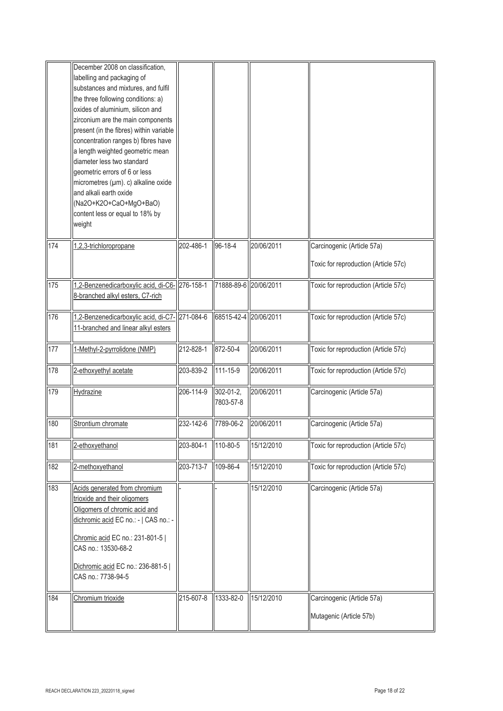|     | December 2008 on classification,<br>labelling and packaging of<br>substances and mixtures, and fulfil<br>the three following conditions: a)<br>oxides of aluminium, silicon and<br>zirconium are the main components<br>present (in the fibres) within variable<br>concentration ranges b) fibres have<br>a length weighted geometric mean<br>diameter less two standard<br>geometric errors of 6 or less<br>micrometres (µm). c) alkaline oxide<br>and alkali earth oxide<br>(Na2O+K2O+CaO+MgO+BaO)<br>content less or equal to 18% by<br>weight |           |                        |            |                                                                    |
|-----|---------------------------------------------------------------------------------------------------------------------------------------------------------------------------------------------------------------------------------------------------------------------------------------------------------------------------------------------------------------------------------------------------------------------------------------------------------------------------------------------------------------------------------------------------|-----------|------------------------|------------|--------------------------------------------------------------------|
| 174 | 1,2,3-trichloropropane                                                                                                                                                                                                                                                                                                                                                                                                                                                                                                                            | 202-486-1 | 96-18-4                | 20/06/2011 | Carcinogenic (Article 57a)<br>Toxic for reproduction (Article 57c) |
| 175 | 1,2-Benzenedicarboxylic acid, di-C6-276-158-1<br>8-branched alkyl esters, C7-rich                                                                                                                                                                                                                                                                                                                                                                                                                                                                 |           | 71888-89-6 20/06/2011  |            | Toxic for reproduction (Article 57c)                               |
| 176 | 1,2-Benzenedicarboxylic acid, di-C7- 271-084-6<br>11-branched and linear alkyl esters                                                                                                                                                                                                                                                                                                                                                                                                                                                             |           | 68515-42-4 20/06/2011  |            | Toxic for reproduction (Article 57c)                               |
| 177 | 1-Methyl-2-pyrrolidone (NMP)                                                                                                                                                                                                                                                                                                                                                                                                                                                                                                                      | 212-828-1 | 872-50-4               | 20/06/2011 | Toxic for reproduction (Article 57c)                               |
| 178 | 2-ethoxyethyl acetate                                                                                                                                                                                                                                                                                                                                                                                                                                                                                                                             | 203-839-2 | 111-15-9               | 20/06/2011 | Toxic for reproduction (Article 57c)                               |
| 179 | Hydrazine                                                                                                                                                                                                                                                                                                                                                                                                                                                                                                                                         | 206-114-9 | 302-01-2,<br>7803-57-8 | 20/06/2011 | Carcinogenic (Article 57a)                                         |
| 180 | Strontium chromate                                                                                                                                                                                                                                                                                                                                                                                                                                                                                                                                | 232-142-6 | 7789-06-2              | 20/06/2011 | Carcinogenic (Article 57a)                                         |
| 181 | 2-ethoxyethanol                                                                                                                                                                                                                                                                                                                                                                                                                                                                                                                                   | 203-804-1 | 110-80-5               | 15/12/2010 | Toxic for reproduction (Article 57c)                               |
| 182 | 2-methoxyethanol                                                                                                                                                                                                                                                                                                                                                                                                                                                                                                                                  | 203-713-7 | 109-86-4               | 15/12/2010 | Toxic for reproduction (Article 57c)                               |
| 183 | Acids generated from chromium<br>trioxide and their oligomers<br>Oligomers of chromic acid and<br>dichromic acid EC no.: -   CAS no.: -<br>Chromic acid EC no.: 231-801-5  <br>CAS no.: 13530-68-2<br>Dichromic acid EC no.: 236-881-5  <br>CAS no.: 7738-94-5                                                                                                                                                                                                                                                                                    |           |                        | 15/12/2010 | Carcinogenic (Article 57a)                                         |
| 184 | Chromium trioxide                                                                                                                                                                                                                                                                                                                                                                                                                                                                                                                                 | 215-607-8 | 1333-82-0              | 15/12/2010 | Carcinogenic (Article 57a)<br>Mutagenic (Article 57b)              |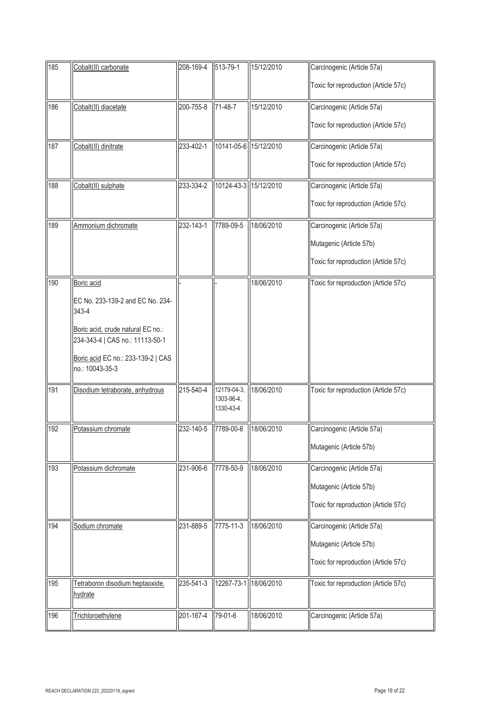| 185 | Cobalt(II) carbonate                                  | 208-169-4 | 513-79-1                 | 15/12/2010 | Carcinogenic (Article 57a)           |
|-----|-------------------------------------------------------|-----------|--------------------------|------------|--------------------------------------|
|     |                                                       |           |                          |            | Toxic for reproduction (Article 57c) |
| 186 | Cobalt(II) diacetate                                  | 200-755-8 | 71-48-7                  | 15/12/2010 | Carcinogenic (Article 57a)           |
|     |                                                       |           |                          |            | Toxic for reproduction (Article 57c) |
| 187 | Cobalt(II) dinitrate                                  | 233-402-1 | 10141-05-6 15/12/2010    |            | Carcinogenic (Article 57a)           |
|     |                                                       |           |                          |            | Toxic for reproduction (Article 57c) |
| 188 | Cobalt(II) sulphate                                   | 233-334-2 | 10124-43-3 15/12/2010    |            | Carcinogenic (Article 57a)           |
|     |                                                       |           |                          |            | Toxic for reproduction (Article 57c) |
| 189 | Ammonium dichromate                                   | 232-143-1 | 7789-09-5                | 18/06/2010 | Carcinogenic (Article 57a)           |
|     |                                                       |           |                          |            | Mutagenic (Article 57b)              |
|     |                                                       |           |                          |            | Toxic for reproduction (Article 57c) |
| 190 | Boric acid                                            |           |                          | 18/06/2010 | Toxic for reproduction (Article 57c) |
|     | EC No. 233-139-2 and EC No. 234-<br>343-4             |           |                          |            |                                      |
|     | Boric acid, crude natural EC no.:                     |           |                          |            |                                      |
|     | 234-343-4   CAS no.: 11113-50-1                       |           |                          |            |                                      |
|     | Boric acid EC no.: 233-139-2   CAS<br>no.: 10043-35-3 |           |                          |            |                                      |
| 191 | Disodium tetraborate, anhydrous                       | 215-540-4 | 12179-04-3<br>1303-96-4, | 18/06/2010 | Toxic for reproduction (Article 57c) |
|     |                                                       |           | 1330-43-4                |            |                                      |
| 192 | Potassium chromate                                    | 232-140-5 | 7789-00-6                | 18/06/2010 | Carcinogenic (Article 57a)           |
|     |                                                       |           |                          |            | Mutagenic (Article 57b)              |
| 193 | Potassium dichromate                                  | 231-906-6 | 7778-50-9                | 18/06/2010 | Carcinogenic (Article 57a)           |
|     |                                                       |           |                          |            | Mutagenic (Article 57b)              |
|     |                                                       |           |                          |            | Toxic for reproduction (Article 57c) |
|     |                                                       |           |                          |            |                                      |
| 194 | Sodium chromate                                       | 231-889-5 | 7775-11-3                | 18/06/2010 | Carcinogenic (Article 57a)           |
|     |                                                       |           |                          |            | Mutagenic (Article 57b)              |
|     |                                                       |           |                          |            | Toxic for reproduction (Article 57c) |
| 195 | Tetraboron disodium heptaoxide,<br>hydrate            | 235-541-3 | 12267-73-1               | 18/06/2010 | Toxic for reproduction (Article 57c) |
| 196 | Trichloroethylene                                     | 201-167-4 | 79-01-6                  | 18/06/2010 | Carcinogenic (Article 57a)           |
|     |                                                       |           |                          |            |                                      |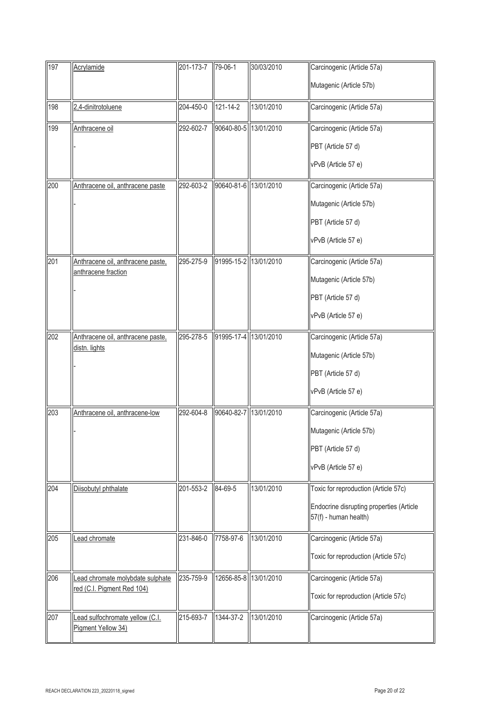| 197 | Acrylamide                                            | 201-173-7 79-06-1 |                       | 30/03/2010            | Carcinogenic (Article 57a)                                        |
|-----|-------------------------------------------------------|-------------------|-----------------------|-----------------------|-------------------------------------------------------------------|
|     |                                                       |                   |                       |                       | Mutagenic (Article 57b)                                           |
| 198 | 2,4-dinitrotoluene                                    | 204-450-0         | 121-14-2              | 13/01/2010            | Carcinogenic (Article 57a)                                        |
| 199 | Anthracene oil                                        | 292-602-7         | 90640-80-5 13/01/2010 |                       | Carcinogenic (Article 57a)                                        |
|     |                                                       |                   |                       |                       | PBT (Article 57 d)                                                |
|     |                                                       |                   |                       |                       | vPvB (Article 57 e)                                               |
| 200 | Anthracene oil, anthracene paste                      | 292-603-2         | 90640-81-6 13/01/2010 |                       | Carcinogenic (Article 57a)                                        |
|     |                                                       |                   |                       |                       | Mutagenic (Article 57b)                                           |
|     |                                                       |                   |                       |                       | PBT (Article 57 d)                                                |
|     |                                                       |                   |                       |                       | vPvB (Article 57 e)                                               |
| 201 | Anthracene oil, anthracene paste,                     | 295-275-9         | 91995-15-2 13/01/2010 |                       | Carcinogenic (Article 57a)                                        |
|     | anthracene fraction                                   |                   |                       |                       | Mutagenic (Article 57b)                                           |
|     |                                                       |                   |                       |                       | PBT (Article 57 d)                                                |
|     |                                                       |                   |                       |                       | vPvB (Article 57 e)                                               |
| 202 | Anthracene oil, anthracene paste,                     | 295-278-5         | 91995-17-4            | 13/01/2010            | Carcinogenic (Article 57a)                                        |
|     | distn. lights                                         |                   |                       |                       | Mutagenic (Article 57b)                                           |
|     |                                                       |                   |                       |                       | PBT (Article 57 d)                                                |
|     |                                                       |                   |                       |                       | vPvB (Article 57 e)                                               |
| 203 | Anthracene oil, anthracene-low                        | 292-604-8         | 90640-82-7            | 13/01/2010            | Carcinogenic (Article 57a)                                        |
|     |                                                       |                   |                       |                       | Mutagenic (Article 57b)                                           |
|     |                                                       |                   |                       |                       | PBT (Article 57 d)                                                |
|     |                                                       |                   |                       |                       | vPvB (Article 57 e)                                               |
| 204 | Diisobutyl phthalate                                  | 201-553-2         | 84-69-5               | 13/01/2010            | Toxic for reproduction (Article 57c)                              |
|     |                                                       |                   |                       |                       | Endocrine disrupting properties (Article<br>57(f) - human health) |
| 205 | ead chromate                                          | 231-846-0         | 7758-97-6             | 13/01/2010            | Carcinogenic (Article 57a)                                        |
|     |                                                       |                   |                       |                       | Toxic for reproduction (Article 57c)                              |
| 206 | Lead chromate molybdate sulphate                      | 235-759-9         |                       | 12656-85-8 13/01/2010 | Carcinogenic (Article 57a)                                        |
|     | red (C.I. Pigment Red 104)                            |                   |                       |                       | Toxic for reproduction (Article 57c)                              |
| 207 | Lead sulfochromate yellow (C.I.<br>Pigment Yellow 34) | 215-693-7         | 1344-37-2             | 13/01/2010            | Carcinogenic (Article 57a)                                        |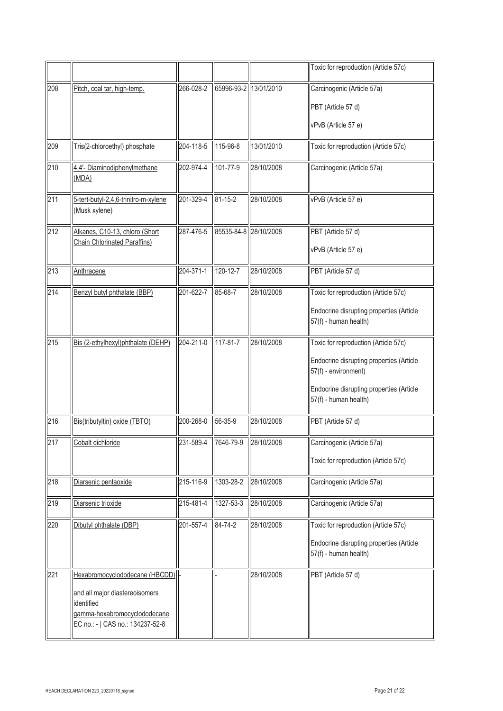|     |                                                                                                                  |           |                       |            | Toxic for reproduction (Article 57c)                              |
|-----|------------------------------------------------------------------------------------------------------------------|-----------|-----------------------|------------|-------------------------------------------------------------------|
| 208 | Pitch, coal tar, high-temp.                                                                                      | 266-028-2 | 65996-93-2 13/01/2010 |            | Carcinogenic (Article 57a)                                        |
|     |                                                                                                                  |           |                       |            | PBT (Article 57 d)                                                |
|     |                                                                                                                  |           |                       |            | vPvB (Article 57 e)                                               |
| 209 | Tris(2-chloroethyl) phosphate                                                                                    | 204-118-5 | 115-96-8              | 13/01/2010 | Toxic for reproduction (Article 57c)                              |
| 210 | 4,4'- Diaminodiphenylmethane<br>(MDA)                                                                            | 202-974-4 | 101-77-9              | 28/10/2008 | Carcinogenic (Article 57a)                                        |
| 211 | 5-tert-butyl-2,4,6-trinitro-m-xylene<br>(Musk xylene)                                                            | 201-329-4 | $81 - 15 - 2$         | 28/10/2008 | vPvB (Article 57 e)                                               |
| 212 | Alkanes, C10-13, chloro (Short                                                                                   | 287-476-5 | 85535-84-8 28/10/2008 |            | PBT (Article 57 d)                                                |
|     | <b>Chain Chlorinated Paraffins)</b>                                                                              |           |                       |            | vPvB (Article 57 e)                                               |
| 213 | Anthracene                                                                                                       | 204-371-1 | 120-12-7              | 28/10/2008 | PBT (Article 57 d)                                                |
| 214 | Benzyl butyl phthalate (BBP)                                                                                     | 201-622-7 | 85-68-7               | 28/10/2008 | Toxic for reproduction (Article 57c)                              |
|     |                                                                                                                  |           |                       |            | Endocrine disrupting properties (Article<br>57(f) - human health) |
| 215 | Bis (2-ethylhexyl)phthalate (DEHP)                                                                               | 204-211-0 | 117-81-7              | 28/10/2008 | Toxic for reproduction (Article 57c)                              |
|     |                                                                                                                  |           |                       |            | Endocrine disrupting properties (Article<br>57(f) - environment)  |
|     |                                                                                                                  |           |                       |            | Endocrine disrupting properties (Article<br>57(f) - human health) |
| 216 | Bis(tributyltin) oxide (TBTO)                                                                                    | 200-268-0 | 56-35-9               | 28/10/2008 | PBT (Article 57 d)                                                |
| 217 | Cobalt dichloride                                                                                                | 231-589-4 | 7646-79-9             | 28/10/2008 | Carcinogenic (Article 57a)                                        |
|     |                                                                                                                  |           |                       |            | Toxic for reproduction (Article 57c)                              |
| 218 | Diarsenic pentaoxide                                                                                             | 215-116-9 | 1303-28-2             | 28/10/2008 | Carcinogenic (Article 57a)                                        |
| 219 | Diarsenic trioxide                                                                                               | 215-481-4 | 1327-53-3             | 28/10/2008 | Carcinogenic (Article 57a)                                        |
| 220 | Dibutyl phthalate (DBP)                                                                                          | 201-557-4 | 84-74-2               | 28/10/2008 | Toxic for reproduction (Article 57c)                              |
|     |                                                                                                                  |           |                       |            | Endocrine disrupting properties (Article<br>57(f) - human health) |
| 221 | Hexabromocyclododecane (HBCDD)                                                                                   |           |                       | 28/10/2008 | PBT (Article 57 d)                                                |
|     | and all major diastereoisomers<br>identified<br>gamma-hexabromocyclododecane<br>EC no.: -   CAS no.: 134237-52-8 |           |                       |            |                                                                   |